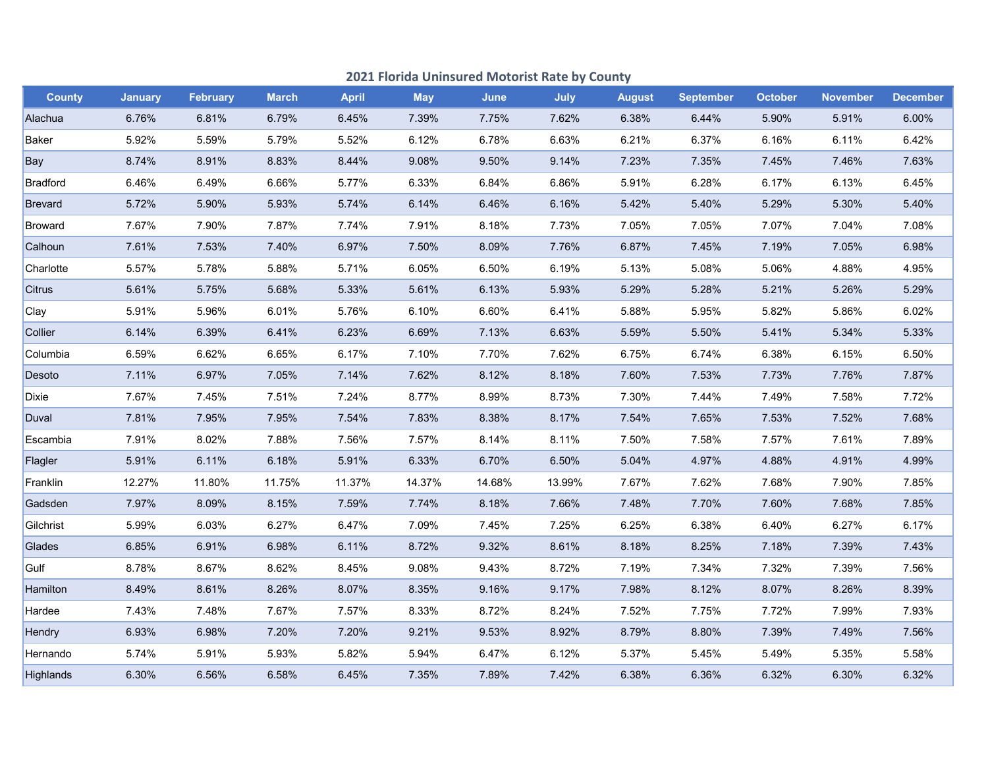|                | 2021 Florida Uninsured Motorist Rate by County |                 |              |              |            |        |        |               |                  |                |                 |                 |
|----------------|------------------------------------------------|-----------------|--------------|--------------|------------|--------|--------|---------------|------------------|----------------|-----------------|-----------------|
| <b>County</b>  | <b>January</b>                                 | <b>February</b> | <b>March</b> | <b>April</b> | <b>May</b> | June   | July   | <b>August</b> | <b>September</b> | <b>October</b> | <b>November</b> | <b>December</b> |
| Alachua        | 6.76%                                          | 6.81%           | 6.79%        | 6.45%        | 7.39%      | 7.75%  | 7.62%  | 6.38%         | 6.44%            | 5.90%          | 5.91%           | 6.00%           |
| Baker          | 5.92%                                          | 5.59%           | 5.79%        | 5.52%        | 6.12%      | 6.78%  | 6.63%  | 6.21%         | 6.37%            | 6.16%          | 6.11%           | 6.42%           |
| Bay            | 8.74%                                          | 8.91%           | 8.83%        | 8.44%        | 9.08%      | 9.50%  | 9.14%  | 7.23%         | 7.35%            | 7.45%          | 7.46%           | 7.63%           |
| Bradford       | 6.46%                                          | 6.49%           | 6.66%        | 5.77%        | 6.33%      | 6.84%  | 6.86%  | 5.91%         | 6.28%            | 6.17%          | 6.13%           | 6.45%           |
| <b>Brevard</b> | 5.72%                                          | 5.90%           | 5.93%        | 5.74%        | 6.14%      | 6.46%  | 6.16%  | 5.42%         | 5.40%            | 5.29%          | 5.30%           | 5.40%           |
| Broward        | 7.67%                                          | 7.90%           | 7.87%        | 7.74%        | 7.91%      | 8.18%  | 7.73%  | 7.05%         | 7.05%            | 7.07%          | 7.04%           | 7.08%           |
| Calhoun        | 7.61%                                          | 7.53%           | 7.40%        | 6.97%        | 7.50%      | 8.09%  | 7.76%  | 6.87%         | 7.45%            | 7.19%          | 7.05%           | 6.98%           |
| Charlotte      | 5.57%                                          | 5.78%           | 5.88%        | 5.71%        | 6.05%      | 6.50%  | 6.19%  | 5.13%         | 5.08%            | 5.06%          | 4.88%           | 4.95%           |
| Citrus         | 5.61%                                          | 5.75%           | 5.68%        | 5.33%        | 5.61%      | 6.13%  | 5.93%  | 5.29%         | 5.28%            | 5.21%          | 5.26%           | 5.29%           |
| Clay           | 5.91%                                          | 5.96%           | 6.01%        | 5.76%        | 6.10%      | 6.60%  | 6.41%  | 5.88%         | 5.95%            | 5.82%          | 5.86%           | 6.02%           |
| Collier        | 6.14%                                          | 6.39%           | 6.41%        | 6.23%        | 6.69%      | 7.13%  | 6.63%  | 5.59%         | 5.50%            | 5.41%          | 5.34%           | 5.33%           |
| Columbia       | 6.59%                                          | 6.62%           | 6.65%        | 6.17%        | 7.10%      | 7.70%  | 7.62%  | 6.75%         | 6.74%            | 6.38%          | 6.15%           | 6.50%           |
| Desoto         | 7.11%                                          | 6.97%           | 7.05%        | 7.14%        | 7.62%      | 8.12%  | 8.18%  | 7.60%         | 7.53%            | 7.73%          | 7.76%           | 7.87%           |
| <b>Dixie</b>   | 7.67%                                          | 7.45%           | 7.51%        | 7.24%        | 8.77%      | 8.99%  | 8.73%  | 7.30%         | 7.44%            | 7.49%          | 7.58%           | 7.72%           |
| Duval          | 7.81%                                          | 7.95%           | 7.95%        | 7.54%        | 7.83%      | 8.38%  | 8.17%  | 7.54%         | 7.65%            | 7.53%          | 7.52%           | 7.68%           |
| Escambia       | 7.91%                                          | 8.02%           | 7.88%        | 7.56%        | 7.57%      | 8.14%  | 8.11%  | 7.50%         | 7.58%            | 7.57%          | 7.61%           | 7.89%           |
| Flagler        | 5.91%                                          | 6.11%           | 6.18%        | 5.91%        | 6.33%      | 6.70%  | 6.50%  | 5.04%         | 4.97%            | 4.88%          | 4.91%           | 4.99%           |
| Franklin       | 12.27%                                         | 11.80%          | 11.75%       | 11.37%       | 14.37%     | 14.68% | 13.99% | 7.67%         | 7.62%            | 7.68%          | 7.90%           | 7.85%           |
| Gadsden        | 7.97%                                          | 8.09%           | 8.15%        | 7.59%        | 7.74%      | 8.18%  | 7.66%  | 7.48%         | 7.70%            | 7.60%          | 7.68%           | 7.85%           |
| Gilchrist      | 5.99%                                          | 6.03%           | 6.27%        | 6.47%        | 7.09%      | 7.45%  | 7.25%  | 6.25%         | 6.38%            | 6.40%          | 6.27%           | 6.17%           |
| Glades         | 6.85%                                          | 6.91%           | 6.98%        | 6.11%        | 8.72%      | 9.32%  | 8.61%  | 8.18%         | 8.25%            | 7.18%          | 7.39%           | 7.43%           |
| Gulf           | 8.78%                                          | 8.67%           | 8.62%        | 8.45%        | 9.08%      | 9.43%  | 8.72%  | 7.19%         | 7.34%            | 7.32%          | 7.39%           | 7.56%           |
| Hamilton       | 8.49%                                          | 8.61%           | 8.26%        | 8.07%        | 8.35%      | 9.16%  | 9.17%  | 7.98%         | 8.12%            | 8.07%          | 8.26%           | 8.39%           |
| Hardee         | 7.43%                                          | 7.48%           | 7.67%        | 7.57%        | 8.33%      | 8.72%  | 8.24%  | 7.52%         | 7.75%            | 7.72%          | 7.99%           | 7.93%           |
| Hendry         | 6.93%                                          | 6.98%           | 7.20%        | 7.20%        | 9.21%      | 9.53%  | 8.92%  | 8.79%         | 8.80%            | 7.39%          | 7.49%           | 7.56%           |
| Hernando       | 5.74%                                          | 5.91%           | 5.93%        | 5.82%        | 5.94%      | 6.47%  | 6.12%  | 5.37%         | 5.45%            | 5.49%          | 5.35%           | 5.58%           |
| Highlands      | 6.30%                                          | 6.56%           | 6.58%        | 6.45%        | 7.35%      | 7.89%  | 7.42%  | 6.38%         | 6.36%            | 6.32%          | 6.30%           | 6.32%           |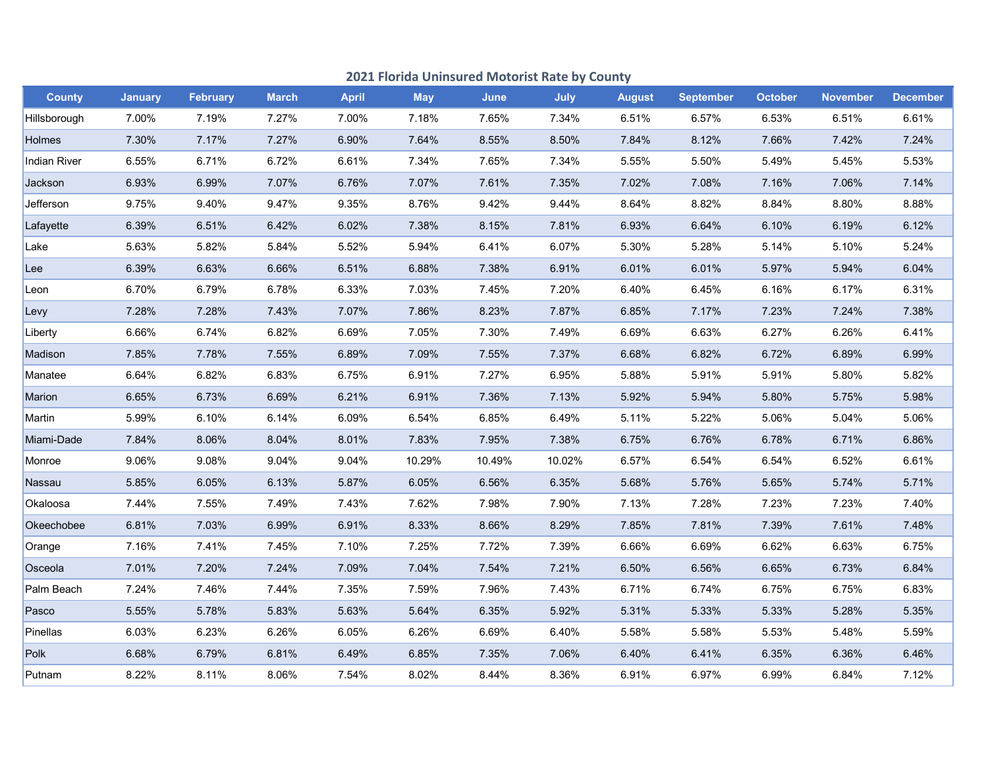|               | 2021 Florida Uninsured Motorist Rate by County |                 |              |              |            |             |             |               |                  |                |                 |                 |
|---------------|------------------------------------------------|-----------------|--------------|--------------|------------|-------------|-------------|---------------|------------------|----------------|-----------------|-----------------|
| <b>County</b> | <b>January</b>                                 | <b>February</b> | <b>March</b> | <b>April</b> | <b>May</b> | <b>June</b> | <b>July</b> | <b>August</b> | <b>September</b> | <b>October</b> | <b>November</b> | <b>December</b> |
| Hillsborough  | 7.00%                                          | 7.19%           | 7.27%        | 7.00%        | 7.18%      | 7.65%       | 7.34%       | 6.51%         | 6.57%            | 6.53%          | 6.51%           | 6.61%           |
| Holmes        | 7.30%                                          | 7.17%           | 7.27%        | 6.90%        | 7.64%      | 8.55%       | 8.50%       | 7.84%         | 8.12%            | 7.66%          | 7.42%           | 7.24%           |
| Indian River  | 6.55%                                          | 6.71%           | 6.72%        | 6.61%        | 7.34%      | 7.65%       | 7.34%       | 5.55%         | 5.50%            | 5.49%          | 5.45%           | 5.53%           |
| Jackson       | 6.93%                                          | 6.99%           | 7.07%        | 6.76%        | 7.07%      | 7.61%       | 7.35%       | 7.02%         | 7.08%            | 7.16%          | 7.06%           | 7.14%           |
| Jefferson     | 9.75%                                          | 9.40%           | 9.47%        | 9.35%        | 8.76%      | 9.42%       | 9.44%       | 8.64%         | 8.82%            | 8.84%          | 8.80%           | 8.88%           |
| Lafayette     | 6.39%                                          | 6.51%           | 6.42%        | 6.02%        | 7.38%      | 8.15%       | 7.81%       | 6.93%         | 6.64%            | 6.10%          | 6.19%           | 6.12%           |
| Lake          | 5.63%                                          | 5.82%           | 5.84%        | 5.52%        | 5.94%      | 6.41%       | 6.07%       | 5.30%         | 5.28%            | 5.14%          | 5.10%           | 5.24%           |
| Lee           | 6.39%                                          | 6.63%           | 6.66%        | 6.51%        | 6.88%      | 7.38%       | 6.91%       | 6.01%         | 6.01%            | 5.97%          | 5.94%           | 6.04%           |
| Leon          | 6.70%                                          | 6.79%           | 6.78%        | 6.33%        | 7.03%      | 7.45%       | 7.20%       | 6.40%         | 6.45%            | 6.16%          | 6.17%           | 6.31%           |
| Levy          | 7.28%                                          | 7.28%           | 7.43%        | 7.07%        | 7.86%      | 8.23%       | 7.87%       | 6.85%         | 7.17%            | 7.23%          | 7.24%           | 7.38%           |
| Liberty       | 6.66%                                          | 6.74%           | 6.82%        | 6.69%        | 7.05%      | 7.30%       | 7.49%       | 6.69%         | 6.63%            | 6.27%          | 6.26%           | 6.41%           |
| Madison       | 7.85%                                          | 7.78%           | 7.55%        | 6.89%        | 7.09%      | 7.55%       | 7.37%       | 6.68%         | 6.82%            | 6.72%          | 6.89%           | 6.99%           |
| Manatee       | 6.64%                                          | 6.82%           | 6.83%        | 6.75%        | 6.91%      | 7.27%       | 6.95%       | 5.88%         | 5.91%            | 5.91%          | 5.80%           | 5.82%           |
| Marion        | 6.65%                                          | 6.73%           | 6.69%        | 6.21%        | 6.91%      | 7.36%       | 7.13%       | 5.92%         | 5.94%            | 5.80%          | 5.75%           | 5.98%           |
| Martin        | 5.99%                                          | 6.10%           | 6.14%        | 6.09%        | 6.54%      | 6.85%       | 6.49%       | 5.11%         | 5.22%            | 5.06%          | 5.04%           | 5.06%           |
| Miami-Dade    | 7.84%                                          | 8.06%           | 8.04%        | 8.01%        | 7.83%      | 7.95%       | 7.38%       | 6.75%         | 6.76%            | 6.78%          | 6.71%           | 6.86%           |
| Monroe        | 9.06%                                          | 9.08%           | 9.04%        | 9.04%        | 10.29%     | 10.49%      | 10.02%      | 6.57%         | 6.54%            | 6.54%          | 6.52%           | 6.61%           |
| Nassau        | 5.85%                                          | 6.05%           | 6.13%        | 5.87%        | 6.05%      | 6.56%       | 6.35%       | 5.68%         | 5.76%            | 5.65%          | 5.74%           | 5.71%           |
| Okaloosa      | 7.44%                                          | 7.55%           | 7.49%        | 7.43%        | 7.62%      | 7.98%       | 7.90%       | 7.13%         | 7.28%            | 7.23%          | 7.23%           | 7.40%           |
| Okeechobee    | 6.81%                                          | 7.03%           | 6.99%        | 6.91%        | 8.33%      | 8.66%       | 8.29%       | 7.85%         | 7.81%            | 7.39%          | 7.61%           | 7.48%           |
| Orange        | 7.16%                                          | 7.41%           | 7.45%        | 7.10%        | 7.25%      | 7.72%       | 7.39%       | 6.66%         | 6.69%            | 6.62%          | 6.63%           | 6.75%           |
| Osceola       | 7.01%                                          | 7.20%           | 7.24%        | 7.09%        | 7.04%      | 7.54%       | 7.21%       | 6.50%         | 6.56%            | 6.65%          | 6.73%           | 6.84%           |
| Palm Beach    | 7.24%                                          | 7.46%           | 7.44%        | 7.35%        | 7.59%      | 7.96%       | 7.43%       | 6.71%         | 6.74%            | 6.75%          | 6.75%           | 6.83%           |
| Pasco         | 5.55%                                          | 5.78%           | 5.83%        | 5.63%        | 5.64%      | 6.35%       | 5.92%       | 5.31%         | 5.33%            | 5.33%          | 5.28%           | 5.35%           |
| Pinellas      | 6.03%                                          | 6.23%           | 6.26%        | 6.05%        | 6.26%      | 6.69%       | 6.40%       | 5.58%         | 5.58%            | 5.53%          | 5.48%           | 5.59%           |
| Polk          | 6.68%                                          | 6.79%           | 6.81%        | 6.49%        | 6.85%      | 7.35%       | 7.06%       | 6.40%         | 6.41%            | 6.35%          | 6.36%           | 6.46%           |
| Putnam        | 8.22%                                          | 8.11%           | 8.06%        | 7.54%        | 8.02%      | 8.44%       | 8.36%       | 6.91%         | 6.97%            | 6.99%          | 6.84%           | 7.12%           |